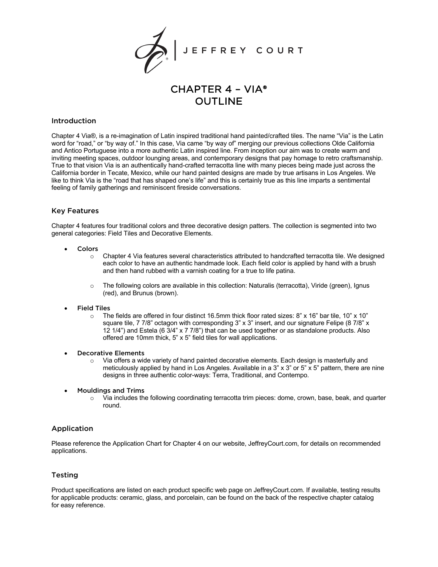

# CHAPTER 4 – VIA® OUTLINE

#### Introduction

Chapter 4 Via®, is a re-imagination of Latin inspired traditional hand painted/crafted tiles. The name "Via" is the Latin word for "road," or "by way of." In this case, Via came "by way of" merging our previous collections Olde California and Antico Portuguese into a more authentic Latin inspired line. From inception our aim was to create warm and inviting meeting spaces, outdoor lounging areas, and contemporary designs that pay homage to retro craftsmanship. True to that vision Via is an authentically hand-crafted terracotta line with many pieces being made just across the California border in Tecate, Mexico, while our hand painted designs are made by true artisans in Los Angeles. We like to think Via is the "road that has shaped one's life" and this is certainly true as this line imparts a sentimental feeling of family gatherings and reminiscent fireside conversations.

# Key Features

Chapter 4 features four traditional colors and three decorative design patters. The collection is segmented into two general categories: Field Tiles and Decorative Elements.

- **Colors** 
	- o Chapter 4 Via features several characteristics attributed to handcrafted terracotta tile. We designed each color to have an authentic handmade look. Each field color is applied by hand with a brush and then hand rubbed with a varnish coating for a true to life patina.
	- o The following colors are available in this collection: Naturalis (terracotta), Viride (green), Ignus (red), and Brunus (brown).
- Field Tiles
	- $\circ$  The fields are offered in four distinct 16.5mm thick floor rated sizes: 8" x 16" bar tile, 10" x 10" square tile, 7 7/8" octagon with corresponding  $3" \times 3"$  insert, and our signature Felipe (8 7/8"  $\times$ 12 1/4") and Estela (6 3/4" x 7 7/8") that can be used together or as standalone products. Also offered are 10mm thick, 5" x 5" field tiles for wall applications.
- Decorative Elements
	- $\circ$  Via offers a wide variety of hand painted decorative elements. Each design is masterfully and meticulously applied by hand in Los Angeles. Available in a 3" x 3" or 5" x 5" pattern, there are nine designs in three authentic color-ways: Terra, Traditional, and Contempo.
- Mouldings and Trims
	- o Via includes the following coordinating terracotta trim pieces: dome, crown, base, beak, and quarter round.

# Application

Please reference the Application Chart for Chapter 4 on our website, JeffreyCourt.com, for details on recommended applications.

# Testing

Product specifications are listed on each product specific web page on JeffreyCourt.com. If available, testing results for applicable products: ceramic, glass, and porcelain, can be found on the back of the respective chapter catalog for easy reference.